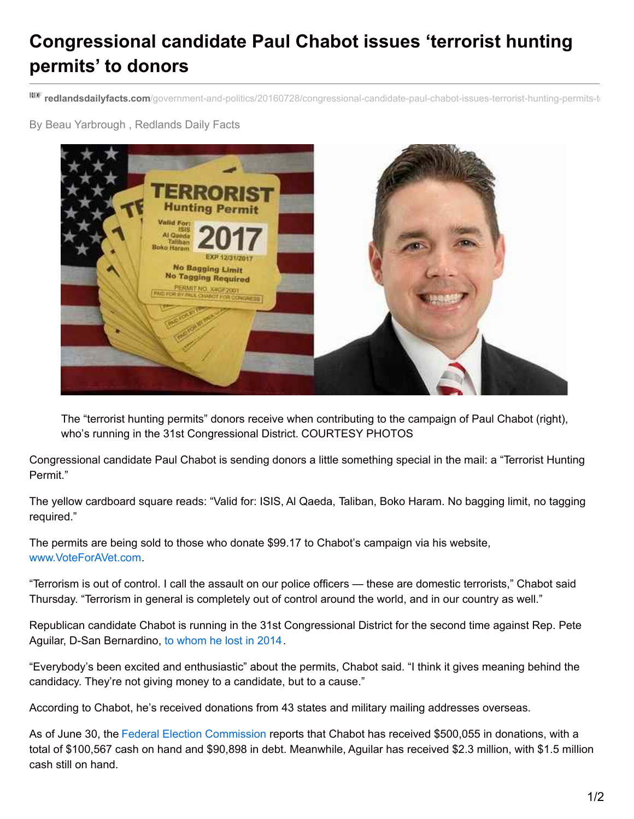## **Congressional candidate Paul Chabot issues 'terrorist hunting permits' to donors**

**RDF** redlandsdailyfacts.com/government-and-politics/20160728/congressional-candidate-paul-chabot-issues-terrorist-hunting-permits-t

By Beau Yarbrough , Redlands Daily Facts



The "terrorist hunting permits" donors receive when contributing to the campaign of Paul Chabot (right), who's running in the 31st Congressional District. COURTESY PHOTOS

Congressional candidate Paul Chabot is sending donors a little something special in the mail: a "Terrorist Hunting Permit."

The yellow cardboard square reads: "Valid for: ISIS, Al Qaeda, Taliban, Boko Haram. No bagging limit, no tagging required."

The permits are being sold to those who donate \$99.17 to Chabot's campaign via his website, [www.VoteForAVet.com](http://www.voteforavet.com/)

"Terrorism is out of control. I call the assault on our police officers — these are domestic terrorists," Chabot said Thursday. "Terrorism in general is completely out of control around the world, and in our country as well."

Republican candidate Chabot is running in the 31st Congressional District for the second time against Rep. Pete Aguilar, D-San Bernardino, to [whom](http://www.sbsun.com/government-and-politics/20141106/election-2014-paul-chabot-concedes-to-pete-aguilar-in-31st-congressional-district) he lost in 2014.

"Everybody's been excited and enthusiastic" about the permits, Chabot said. "I think it gives meaning behind the candidacy. They're not giving money to a candidate, but to a cause."

According to Chabot, he's received donations from 43 states and military mailing addresses overseas.

As of June 30, the Federal Election [Commission](http://www.fec.gov/disclosurehs/hsnational.do) reports that Chabot has received \$500,055 in donations, with a total of \$100,567 cash on hand and \$90,898 in debt. Meanwhile, Aguilar has received \$2.3 million, with \$1.5 million cash still on hand.